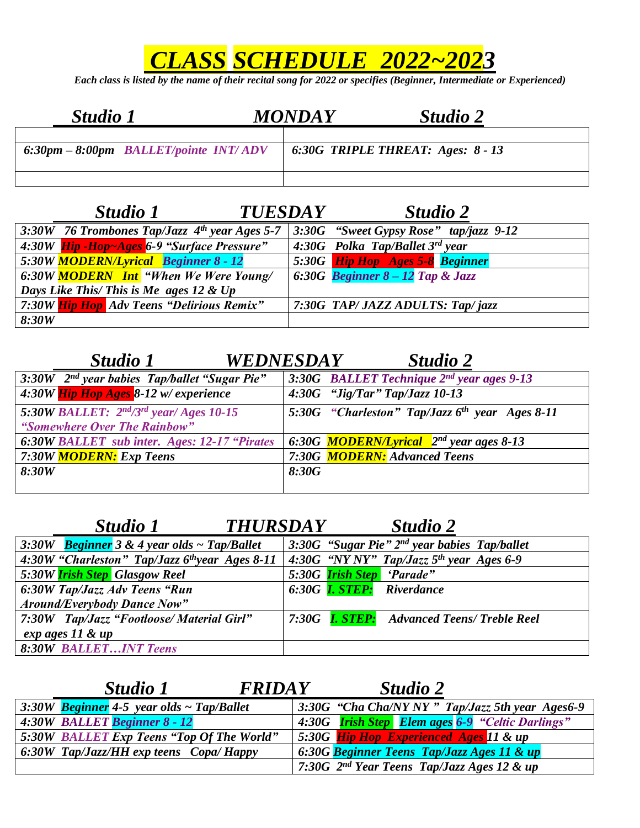## *CLASS SCHEDULE 2022~2023*

*Each class is listed by the name of their recital song for 2022 or specifies (Beginner, Intermediate or Experienced)*

| <b>Studio 1</b> |                                                         | <b>MONDAY</b>                       | <b>Studio 2</b> |  |
|-----------------|---------------------------------------------------------|-------------------------------------|-----------------|--|
|                 | $6:30 \text{pm} - 8:00 \text{pm}$ BALLET/pointe INT/ADV | $6:30G$ TRIPLE THREAT: Ages: 8 - 13 |                 |  |
|                 |                                                         |                                     |                 |  |

|       | Studio 1                                        | <b>TUESDAY</b> | Studio 2                                 |
|-------|-------------------------------------------------|----------------|------------------------------------------|
|       | 3:30W 76 Trombones Tap/Jazz $4th$ year Ages 5-7 |                | $3:30G$ "Sweet Gypsy Rose" tap/jazz 9-12 |
|       | 4:30W Hip - Hop ~ Ages 6-9 "Surface Pressure"   |                | 4:30G Polka Tap/Ballet 3rd year          |
|       | 5:30W MODERN/Lyrical Beginner 8 - 12            |                | 5:30G Hip Hop Ages 5-8 Beginner          |
|       | 6:30W MODERN Int "When We Were Young/           |                | 6:30G Beginner $8-12$ Tap & Jazz         |
|       | Days Like This/ This is Me ages 12 & Up         |                |                                          |
|       | 7:30W Hip Hop Adv Teens "Delirious Remix"       |                | 7:30G TAP/ JAZZ ADULTS: Tap/jazz         |
| 8:30W |                                                 |                |                                          |

## *Studio 1 WEDNESDAY Studio 2*  3:30W 2<sup>nd</sup> year babies Tap/ballet "Sugar Pie" *nda 3:30G BALLET Technique*  $2^{nd}$  *year ages 9-13*<br>*4:30G "Jig/Tar" Tap/Jazz 10-13 4:30W Hip Hop Ages 8-12 w/ experience 4:30G "Jig/Tar" Tap/Jazz 10-13 5:30W BALLET: 2 nd/3rd year/ Ages 10-15 "Somewhere Over The Rainbow" 5:30G "Charleston" Tap/Jazz 6 th year Ages 8-11* **6:30W BALLET** sub inter. *Ages: 12-17* "Pirates 6:30G **MODERN/Lyrical** 2<sup>nd</sup> year ages 8-13 *7:30W MODERN: Exp Teens 7:30G MODERN: Advanced Teens 8:30W 8:30G*

| <i>Studio 1</i>                                            | <b>THURSDAY</b> |  | Studio 2                                          |  |
|------------------------------------------------------------|-----------------|--|---------------------------------------------------|--|
| 3:30W <b>Beginner</b> 3 & 4 year olds $\sim$ Tap/Ballet    |                 |  | 3:30G "Sugar Pie" 2nd year babies Tap/ballet      |  |
| 4:30W "Charleston" Tap/Jazz 6 <sup>th</sup> year Ages 8-11 |                 |  | 4:30G "NY NY" Tap/Jazz $5th$ year Ages 6-9        |  |
| 5:30W <b>Irish Step</b> Glasgow Reel                       |                 |  | 5:30G <b>Irish Step</b> 'Parade"                  |  |
| 6:30W Tap/Jazz Adv Teens "Run                              |                 |  | 6:30G <b>I. STEP:</b> Riverdance                  |  |
| <b>Around/Everybody Dance Now"</b>                         |                 |  |                                                   |  |
| 7:30W Tap/Jazz "Footloose/ Material Girl"                  |                 |  | 7:30G <b>I. STEP:</b> Advanced Teens/ Treble Reel |  |
| exp ages 11 & up                                           |                 |  |                                                   |  |
| <b>8:30W BALLETINT Teens</b>                               |                 |  |                                                   |  |

| <b>Studio 1</b>                                          | <b>FRIDAY</b> | Studio 2                                                |  |
|----------------------------------------------------------|---------------|---------------------------------------------------------|--|
| $\left 3:30W\right $ Beginner 4-5 year olds ~ Tap/Ballet |               | 3:30G "Cha Cha/NY NY" Tap/Jazz 5th year Ages6-9         |  |
| 4:30W BALLET Beginner 8 - 12                             |               | 4:30G <b>Irish Step</b> Elem ages 6-9 "Celtic Darlings" |  |
| 5:30W BALLET Exp Teens "Top Of The World"                |               | 5:30G Hip Hop Experienced Ages 11 & up                  |  |
| $\sim 6.30W$ Tap/Jazz/HH exp teens Copa/Happy            |               | 6:30G Beginner Teens Tap/Jazz Ages 11 & up              |  |
|                                                          |               | 7:30G 2 <sup>nd</sup> Year Teens Tap/Jazz Ages 12 & up  |  |